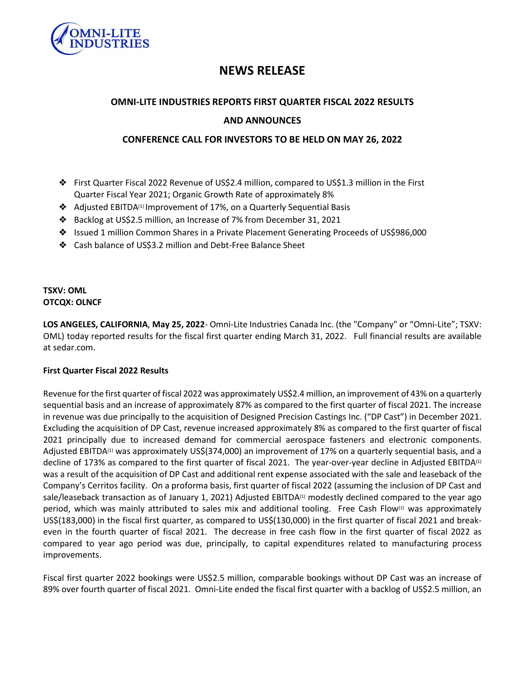

# **NEWS RELEASE**

# **OMNI-LITE INDUSTRIES REPORTS FIRST QUARTER FISCAL 2022 RESULTS**

# **AND ANNOUNCES**

# **CONFERENCE CALL FOR INVESTORS TO BE HELD ON MAY 26, 2022**

- ❖ First Quarter Fiscal 2022 Revenue of US\$2.4 million, compared to US\$1.3 million in the First Quarter Fiscal Year 2021; Organic Growth Rate of approximately 8%
- ❖ Adjusted EBITDA(1) Improvement of 17%, on a Quarterly Sequential Basis
- ❖ Backlog at US\$2.5 million, an Increase of 7% from December 31, 2021
- ❖ Issued 1 million Common Shares in a Private Placement Generating Proceeds of US\$986,000
- ❖ Cash balance of US\$3.2 million and Debt-Free Balance Sheet

### **TSXV: OML OTCQX: OLNCF**

**LOS ANGELES, CALIFORNIA**, **May 25, 2022**- Omni-Lite Industries Canada Inc. (the "Company" or "Omni-Lite"; TSXV: OML) today reported results for the fiscal first quarter ending March 31, 2022. Full financial results are available at sedar.com.

#### **First Quarter Fiscal 2022 Results**

Revenue forthe first quarter of fiscal 2022 was approximately US\$2.4 million, an improvement of 43% on a quarterly sequential basis and an increase of approximately 87% as compared to the first quarter of fiscal 2021. The increase in revenue was due principally to the acquisition of Designed Precision Castings Inc. ("DP Cast") in December 2021. Excluding the acquisition of DP Cast, revenue increased approximately 8% as compared to the first quarter of fiscal 2021 principally due to increased demand for commercial aerospace fasteners and electronic components. Adjusted EBITDA(1) was approximately US\$(374,000) an improvement of 17% on a quarterly sequential basis, and a decline of 173% as compared to the first quarter of fiscal 2021. The year-over-year decline in Adjusted EBITDA<sup>(1)</sup> was a result of the acquisition of DP Cast and additional rent expense associated with the sale and leaseback of the Company's Cerritos facility. On a proforma basis, first quarter of fiscal 2022 (assuming the inclusion of DP Cast and sale/leaseback transaction as of January 1, 2021) Adjusted EBITDA<sup>(1)</sup> modestly declined compared to the year ago period, which was mainly attributed to sales mix and additional tooling. Free Cash Flow<sup>(1)</sup> was approximately US\$(183,000) in the fiscal first quarter, as compared to US\$(130,000) in the first quarter of fiscal 2021 and breakeven in the fourth quarter of fiscal 2021. The decrease in free cash flow in the first quarter of fiscal 2022 as compared to year ago period was due, principally, to capital expenditures related to manufacturing process improvements.

Fiscal first quarter 2022 bookings were US\$2.5 million, comparable bookings without DP Cast was an increase of 89% over fourth quarter of fiscal 2021. Omni-Lite ended the fiscal first quarter with a backlog of US\$2.5 million, an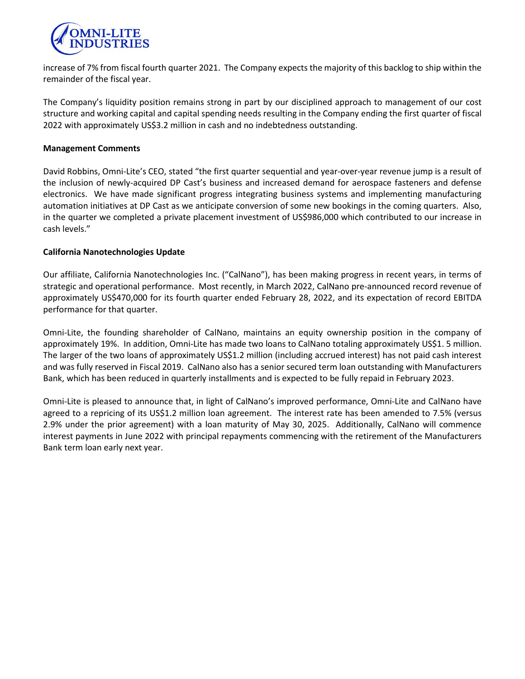

increase of 7% from fiscal fourth quarter 2021. The Company expects the majority of this backlog to ship within the remainder of the fiscal year.

The Company's liquidity position remains strong in part by our disciplined approach to management of our cost structure and working capital and capital spending needs resulting in the Company ending the first quarter of fiscal 2022 with approximately US\$3.2 million in cash and no indebtedness outstanding.

#### **Management Comments**

David Robbins, Omni-Lite's CEO, stated "the first quarter sequential and year-over-year revenue jump is a result of the inclusion of newly-acquired DP Cast's business and increased demand for aerospace fasteners and defense electronics. We have made significant progress integrating business systems and implementing manufacturing automation initiatives at DP Cast as we anticipate conversion of some new bookings in the coming quarters. Also, in the quarter we completed a private placement investment of US\$986,000 which contributed to our increase in cash levels."

#### **California Nanotechnologies Update**

Our affiliate, California Nanotechnologies Inc. ("CalNano"), has been making progress in recent years, in terms of strategic and operational performance. Most recently, in March 2022, CalNano pre-announced record revenue of approximately US\$470,000 for its fourth quarter ended February 28, 2022, and its expectation of record EBITDA performance for that quarter.

Omni-Lite, the founding shareholder of CalNano, maintains an equity ownership position in the company of approximately 19%. In addition, Omni-Lite has made two loans to CalNano totaling approximately US\$1. 5 million. The larger of the two loans of approximately US\$1.2 million (including accrued interest) has not paid cash interest and was fully reserved in Fiscal 2019. CalNano also has a senior secured term loan outstanding with Manufacturers Bank, which has been reduced in quarterly installments and is expected to be fully repaid in February 2023.

Omni-Lite is pleased to announce that, in light of CalNano's improved performance, Omni-Lite and CalNano have agreed to a repricing of its US\$1.2 million loan agreement. The interest rate has been amended to 7.5% (versus 2.9% under the prior agreement) with a loan maturity of May 30, 2025. Additionally, CalNano will commence interest payments in June 2022 with principal repayments commencing with the retirement of the Manufacturers Bank term loan early next year.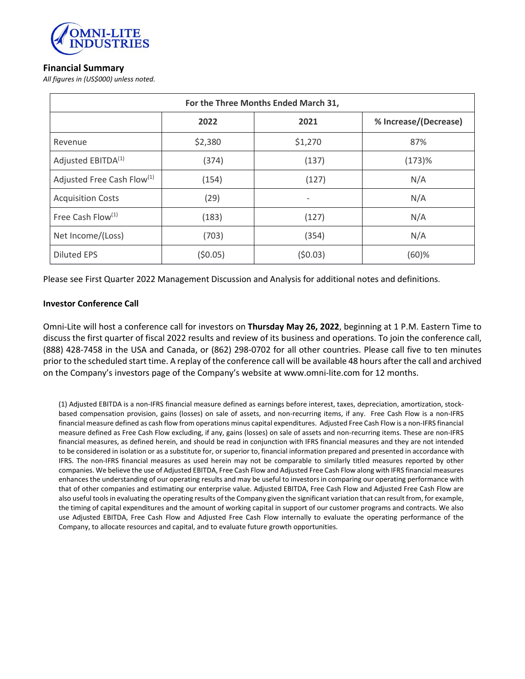

# **Financial Summary**

*All figures in (US\$000) unless noted.*

| For the Three Months Ended March 31,   |         |                              |                       |
|----------------------------------------|---------|------------------------------|-----------------------|
|                                        | 2022    | 2021                         | % Increase/(Decrease) |
| Revenue                                | \$2,380 | \$1,270                      | 87%                   |
| Adjusted EBITDA <sup>(1)</sup>         | (374)   | (137)                        | (173)%                |
| Adjusted Free Cash Flow <sup>(1)</sup> | (154)   | (127)                        | N/A                   |
| <b>Acquisition Costs</b>               | (29)    | $\qquad \qquad \blacksquare$ | N/A                   |
| Free Cash Flow <sup>(1)</sup>          | (183)   | (127)                        | N/A                   |
| Net Income/(Loss)                      | (703)   | (354)                        | N/A                   |
| <b>Diluted EPS</b>                     | (50.05) | (50.03)                      | $(60)$ %              |

Please see First Quarter 2022 Management Discussion and Analysis for additional notes and definitions.

#### **Investor Conference Call**

Omni-Lite will host a conference call for investors on **Thursday May 26, 2022**, beginning at 1 P.M. Eastern Time to discuss the first quarter of fiscal 2022 results and review of its business and operations. To join the conference call, (888) 428-7458 in the USA and Canada, or (862) 298-0702 for all other countries. Please call five to ten minutes prior to the scheduled start time. A replay of the conference call will be available 48 hours afterthe call and archived on the Company's investors page of the Company's website at www.omni-lite.com for 12 months.

(1) Adjusted EBITDA is a non-IFRS financial measure defined as earnings before interest, taxes, depreciation, amortization, stockbased compensation provision, gains (losses) on sale of assets, and non-recurring items, if any. Free Cash Flow is a non-IFRS financial measure defined as cash flow from operations minus capital expenditures. Adjusted Free Cash Flow is a non-IFRS financial measure defined as Free Cash Flow excluding, if any, gains (losses) on sale of assets and non-recurring items. These are non-IFRS financial measures, as defined herein, and should be read in conjunction with IFRS financial measures and they are not intended to be considered in isolation or as a substitute for, or superior to, financial information prepared and presented in accordance with IFRS. The non-IFRS financial measures as used herein may not be comparable to similarly titled measures reported by other companies. We believe the use of Adjusted EBITDA, Free Cash Flow and Adjusted Free Cash Flow along with IFRS financial measures enhances the understanding of our operating results and may be useful to investorsin comparing our operating performance with that of other companies and estimating our enterprise value. Adjusted EBITDA, Free Cash Flow and Adjusted Free Cash Flow are also useful tools in evaluating the operating results of the Company given the significant variation that can result from, for example, the timing of capital expenditures and the amount of working capital in support of our customer programs and contracts. We also use Adjusted EBITDA, Free Cash Flow and Adjusted Free Cash Flow internally to evaluate the operating performance of the Company, to allocate resources and capital, and to evaluate future growth opportunities.